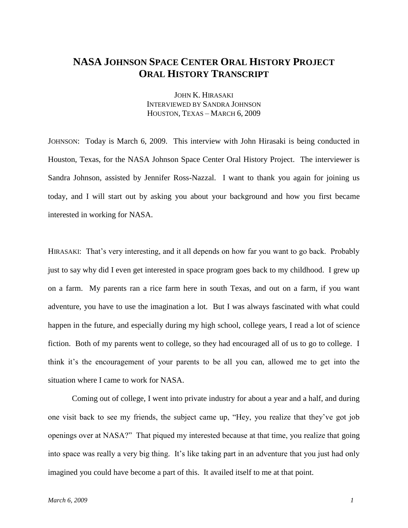## **NASA JOHNSON SPACE CENTER ORAL HISTORY PROJECT ORAL HISTORY TRANSCRIPT**

JOHN K. HIRASAKI INTERVIEWED BY SANDRA JOHNSON HOUSTON, TEXAS – MARCH 6, 2009

JOHNSON: Today is March 6, 2009. This interview with John Hirasaki is being conducted in Houston, Texas, for the NASA Johnson Space Center Oral History Project. The interviewer is Sandra Johnson, assisted by Jennifer Ross-Nazzal. I want to thank you again for joining us today, and I will start out by asking you about your background and how you first became interested in working for NASA.

HIRASAKI: That's very interesting, and it all depends on how far you want to go back. Probably just to say why did I even get interested in space program goes back to my childhood. I grew up on a farm. My parents ran a rice farm here in south Texas, and out on a farm, if you want adventure, you have to use the imagination a lot. But I was always fascinated with what could happen in the future, and especially during my high school, college years, I read a lot of science fiction. Both of my parents went to college, so they had encouraged all of us to go to college. I think it's the encouragement of your parents to be all you can, allowed me to get into the situation where I came to work for NASA.

Coming out of college, I went into private industry for about a year and a half, and during one visit back to see my friends, the subject came up, "Hey, you realize that they've got job openings over at NASA?" That piqued my interested because at that time, you realize that going into space was really a very big thing. It's like taking part in an adventure that you just had only imagined you could have become a part of this. It availed itself to me at that point.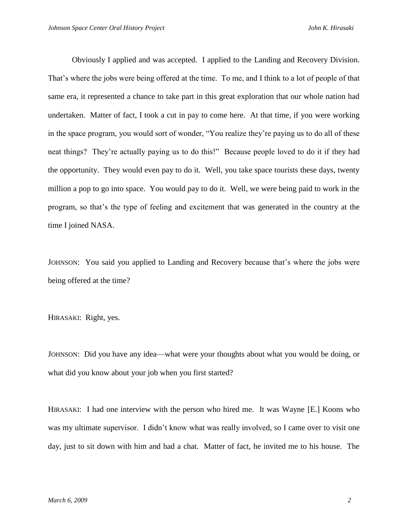Obviously I applied and was accepted. I applied to the Landing and Recovery Division. That's where the jobs were being offered at the time. To me, and I think to a lot of people of that same era, it represented a chance to take part in this great exploration that our whole nation had undertaken. Matter of fact, I took a cut in pay to come here. At that time, if you were working in the space program, you would sort of wonder, "You realize they're paying us to do all of these neat things? They're actually paying us to do this!" Because people loved to do it if they had the opportunity. They would even pay to do it. Well, you take space tourists these days, twenty million a pop to go into space. You would pay to do it. Well, we were being paid to work in the program, so that's the type of feeling and excitement that was generated in the country at the time I joined NASA.

JOHNSON: You said you applied to Landing and Recovery because that's where the jobs were being offered at the time?

HIRASAKI: Right, yes.

JOHNSON: Did you have any idea—what were your thoughts about what you would be doing, or what did you know about your job when you first started?

HIRASAKI: I had one interview with the person who hired me. It was Wayne [E.] Koons who was my ultimate supervisor. I didn't know what was really involved, so I came over to visit one day, just to sit down with him and had a chat. Matter of fact, he invited me to his house. The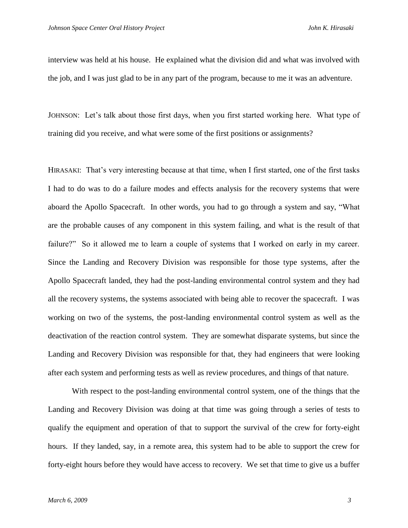interview was held at his house. He explained what the division did and what was involved with the job, and I was just glad to be in any part of the program, because to me it was an adventure.

JOHNSON: Let's talk about those first days, when you first started working here. What type of training did you receive, and what were some of the first positions or assignments?

HIRASAKI: That's very interesting because at that time, when I first started, one of the first tasks I had to do was to do a failure modes and effects analysis for the recovery systems that were aboard the Apollo Spacecraft. In other words, you had to go through a system and say, "What are the probable causes of any component in this system failing, and what is the result of that failure?" So it allowed me to learn a couple of systems that I worked on early in my career. Since the Landing and Recovery Division was responsible for those type systems, after the Apollo Spacecraft landed, they had the post-landing environmental control system and they had all the recovery systems, the systems associated with being able to recover the spacecraft. I was working on two of the systems, the post-landing environmental control system as well as the deactivation of the reaction control system. They are somewhat disparate systems, but since the Landing and Recovery Division was responsible for that, they had engineers that were looking after each system and performing tests as well as review procedures, and things of that nature.

With respect to the post-landing environmental control system, one of the things that the Landing and Recovery Division was doing at that time was going through a series of tests to qualify the equipment and operation of that to support the survival of the crew for forty-eight hours. If they landed, say, in a remote area, this system had to be able to support the crew for forty-eight hours before they would have access to recovery. We set that time to give us a buffer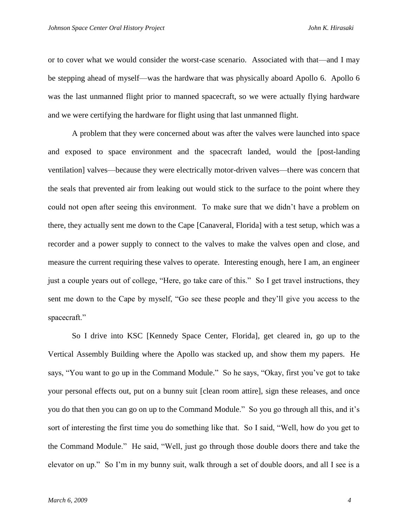or to cover what we would consider the worst-case scenario. Associated with that—and I may be stepping ahead of myself—was the hardware that was physically aboard Apollo 6. Apollo 6 was the last unmanned flight prior to manned spacecraft, so we were actually flying hardware and we were certifying the hardware for flight using that last unmanned flight.

A problem that they were concerned about was after the valves were launched into space and exposed to space environment and the spacecraft landed, would the [post-landing ventilation] valves—because they were electrically motor-driven valves—there was concern that the seals that prevented air from leaking out would stick to the surface to the point where they could not open after seeing this environment. To make sure that we didn't have a problem on there, they actually sent me down to the Cape [Canaveral, Florida] with a test setup, which was a recorder and a power supply to connect to the valves to make the valves open and close, and measure the current requiring these valves to operate. Interesting enough, here I am, an engineer just a couple years out of college, "Here, go take care of this." So I get travel instructions, they sent me down to the Cape by myself, "Go see these people and they'll give you access to the spacecraft."

So I drive into KSC [Kennedy Space Center, Florida], get cleared in, go up to the Vertical Assembly Building where the Apollo was stacked up, and show them my papers. He says, "You want to go up in the Command Module." So he says, "Okay, first you've got to take your personal effects out, put on a bunny suit [clean room attire], sign these releases, and once you do that then you can go on up to the Command Module." So you go through all this, and it's sort of interesting the first time you do something like that. So I said, "Well, how do you get to the Command Module." He said, "Well, just go through those double doors there and take the elevator on up." So I'm in my bunny suit, walk through a set of double doors, and all I see is a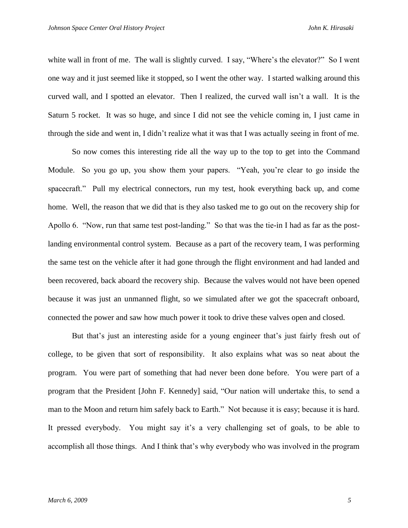white wall in front of me. The wall is slightly curved. I say, "Where's the elevator?" So I went one way and it just seemed like it stopped, so I went the other way. I started walking around this curved wall, and I spotted an elevator. Then I realized, the curved wall isn't a wall. It is the Saturn 5 rocket. It was so huge, and since I did not see the vehicle coming in, I just came in through the side and went in, I didn't realize what it was that I was actually seeing in front of me.

So now comes this interesting ride all the way up to the top to get into the Command Module. So you go up, you show them your papers. "Yeah, you're clear to go inside the spacecraft." Pull my electrical connectors, run my test, hook everything back up, and come home. Well, the reason that we did that is they also tasked me to go out on the recovery ship for Apollo 6. "Now, run that same test post-landing." So that was the tie-in I had as far as the postlanding environmental control system. Because as a part of the recovery team, I was performing the same test on the vehicle after it had gone through the flight environment and had landed and been recovered, back aboard the recovery ship. Because the valves would not have been opened because it was just an unmanned flight, so we simulated after we got the spacecraft onboard, connected the power and saw how much power it took to drive these valves open and closed.

But that's just an interesting aside for a young engineer that's just fairly fresh out of college, to be given that sort of responsibility. It also explains what was so neat about the program. You were part of something that had never been done before. You were part of a program that the President [John F. Kennedy] said, "Our nation will undertake this, to send a man to the Moon and return him safely back to Earth." Not because it is easy; because it is hard. It pressed everybody. You might say it's a very challenging set of goals, to be able to accomplish all those things. And I think that's why everybody who was involved in the program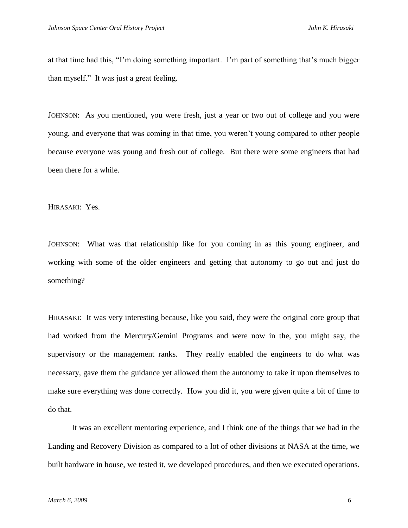at that time had this, "I'm doing something important. I'm part of something that's much bigger than myself." It was just a great feeling.

JOHNSON: As you mentioned, you were fresh, just a year or two out of college and you were young, and everyone that was coming in that time, you weren't young compared to other people because everyone was young and fresh out of college. But there were some engineers that had been there for a while.

HIRASAKI: Yes.

JOHNSON: What was that relationship like for you coming in as this young engineer, and working with some of the older engineers and getting that autonomy to go out and just do something?

HIRASAKI: It was very interesting because, like you said, they were the original core group that had worked from the Mercury/Gemini Programs and were now in the, you might say, the supervisory or the management ranks. They really enabled the engineers to do what was necessary, gave them the guidance yet allowed them the autonomy to take it upon themselves to make sure everything was done correctly. How you did it, you were given quite a bit of time to do that.

It was an excellent mentoring experience, and I think one of the things that we had in the Landing and Recovery Division as compared to a lot of other divisions at NASA at the time, we built hardware in house, we tested it, we developed procedures, and then we executed operations.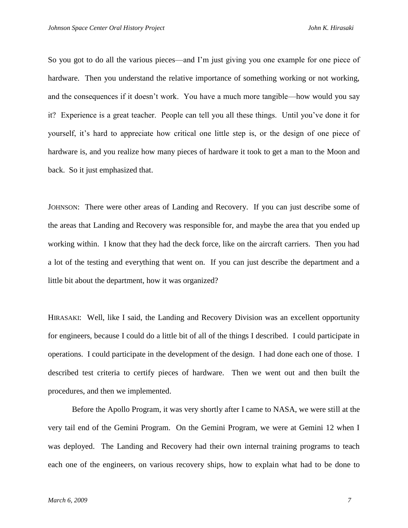So you got to do all the various pieces—and I'm just giving you one example for one piece of hardware. Then you understand the relative importance of something working or not working, and the consequences if it doesn't work. You have a much more tangible—how would you say it? Experience is a great teacher. People can tell you all these things. Until you've done it for yourself, it's hard to appreciate how critical one little step is, or the design of one piece of hardware is, and you realize how many pieces of hardware it took to get a man to the Moon and back. So it just emphasized that.

JOHNSON: There were other areas of Landing and Recovery. If you can just describe some of the areas that Landing and Recovery was responsible for, and maybe the area that you ended up working within. I know that they had the deck force, like on the aircraft carriers. Then you had a lot of the testing and everything that went on. If you can just describe the department and a little bit about the department, how it was organized?

HIRASAKI: Well, like I said, the Landing and Recovery Division was an excellent opportunity for engineers, because I could do a little bit of all of the things I described. I could participate in operations. I could participate in the development of the design. I had done each one of those. I described test criteria to certify pieces of hardware. Then we went out and then built the procedures, and then we implemented.

Before the Apollo Program, it was very shortly after I came to NASA, we were still at the very tail end of the Gemini Program. On the Gemini Program, we were at Gemini 12 when I was deployed. The Landing and Recovery had their own internal training programs to teach each one of the engineers, on various recovery ships, how to explain what had to be done to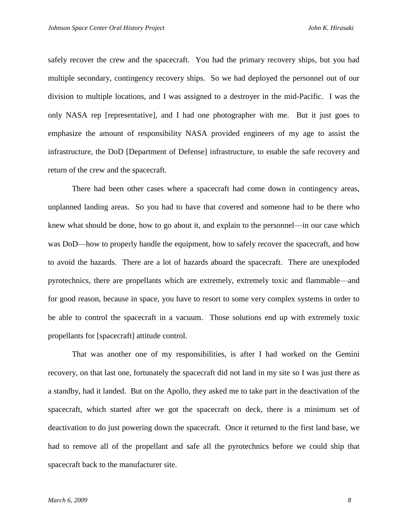safely recover the crew and the spacecraft. You had the primary recovery ships, but you had multiple secondary, contingency recovery ships. So we had deployed the personnel out of our division to multiple locations, and I was assigned to a destroyer in the mid-Pacific. I was the only NASA rep [representative], and I had one photographer with me. But it just goes to emphasize the amount of responsibility NASA provided engineers of my age to assist the infrastructure, the DoD [Department of Defense] infrastructure, to enable the safe recovery and return of the crew and the spacecraft.

There had been other cases where a spacecraft had come down in contingency areas, unplanned landing areas. So you had to have that covered and someone had to be there who knew what should be done, how to go about it, and explain to the personnel—in our case which was DoD—how to properly handle the equipment, how to safely recover the spacecraft, and how to avoid the hazards. There are a lot of hazards aboard the spacecraft. There are unexploded pyrotechnics, there are propellants which are extremely, extremely toxic and flammable—and for good reason, because in space, you have to resort to some very complex systems in order to be able to control the spacecraft in a vacuum. Those solutions end up with extremely toxic propellants for [spacecraft] attitude control.

That was another one of my responsibilities, is after I had worked on the Gemini recovery, on that last one, fortunately the spacecraft did not land in my site so I was just there as a standby, had it landed. But on the Apollo, they asked me to take part in the deactivation of the spacecraft, which started after we got the spacecraft on deck, there is a minimum set of deactivation to do just powering down the spacecraft. Once it returned to the first land base, we had to remove all of the propellant and safe all the pyrotechnics before we could ship that spacecraft back to the manufacturer site.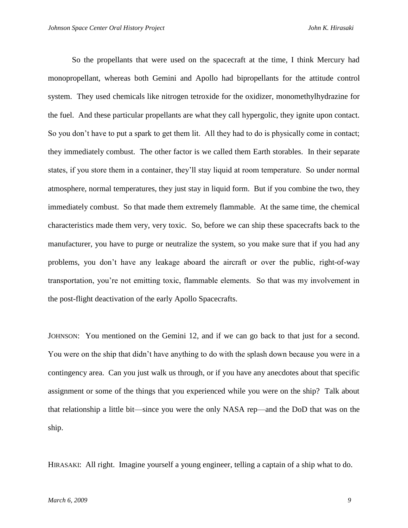So the propellants that were used on the spacecraft at the time, I think Mercury had monopropellant, whereas both Gemini and Apollo had bipropellants for the attitude control system. They used chemicals like nitrogen tetroxide for the oxidizer, monomethylhydrazine for the fuel. And these particular propellants are what they call hypergolic, they ignite upon contact. So you don't have to put a spark to get them lit. All they had to do is physically come in contact; they immediately combust. The other factor is we called them Earth storables. In their separate states, if you store them in a container, they'll stay liquid at room temperature. So under normal atmosphere, normal temperatures, they just stay in liquid form. But if you combine the two, they immediately combust. So that made them extremely flammable. At the same time, the chemical characteristics made them very, very toxic. So, before we can ship these spacecrafts back to the manufacturer, you have to purge or neutralize the system, so you make sure that if you had any problems, you don't have any leakage aboard the aircraft or over the public, right-of-way transportation, you're not emitting toxic, flammable elements. So that was my involvement in the post-flight deactivation of the early Apollo Spacecrafts.

JOHNSON: You mentioned on the Gemini 12, and if we can go back to that just for a second. You were on the ship that didn't have anything to do with the splash down because you were in a contingency area. Can you just walk us through, or if you have any anecdotes about that specific assignment or some of the things that you experienced while you were on the ship? Talk about that relationship a little bit—since you were the only NASA rep—and the DoD that was on the ship.

HIRASAKI: All right. Imagine yourself a young engineer, telling a captain of a ship what to do.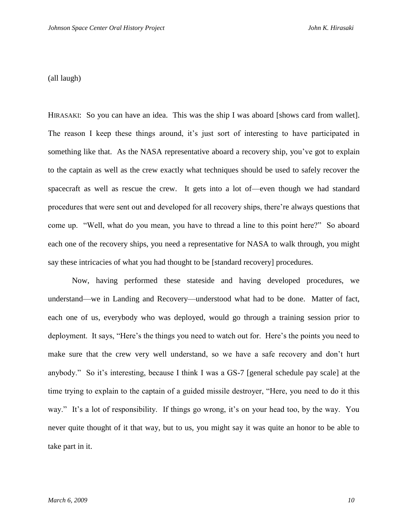(all laugh)

HIRASAKI: So you can have an idea. This was the ship I was aboard [shows card from wallet]. The reason I keep these things around, it's just sort of interesting to have participated in something like that. As the NASA representative aboard a recovery ship, you've got to explain to the captain as well as the crew exactly what techniques should be used to safely recover the spacecraft as well as rescue the crew. It gets into a lot of—even though we had standard procedures that were sent out and developed for all recovery ships, there're always questions that come up. "Well, what do you mean, you have to thread a line to this point here?" So aboard each one of the recovery ships, you need a representative for NASA to walk through, you might say these intricacies of what you had thought to be [standard recovery] procedures.

Now, having performed these stateside and having developed procedures, we understand—we in Landing and Recovery—understood what had to be done. Matter of fact, each one of us, everybody who was deployed, would go through a training session prior to deployment. It says, "Here's the things you need to watch out for. Here's the points you need to make sure that the crew very well understand, so we have a safe recovery and don't hurt anybody.‖ So it's interesting, because I think I was a GS-7 [general schedule pay scale] at the time trying to explain to the captain of a guided missile destroyer, "Here, you need to do it this way." It's a lot of responsibility. If things go wrong, it's on your head too, by the way. You never quite thought of it that way, but to us, you might say it was quite an honor to be able to take part in it.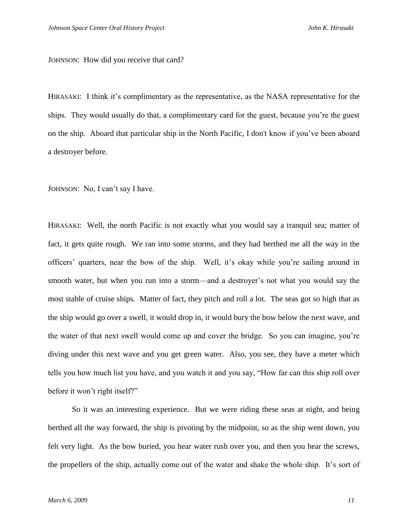JOHNSON: How did you receive that card?

HIRASAKI: I think it's complimentary as the representative, as the NASA representative for the ships. They would usually do that, a complimentary card for the guest, because you're the guest on the ship. Aboard that particular ship in the North Pacific, I don't know if you've been aboard a destroyer before.

JOHNSON: No, I can't say I have.

HIRASAKI: Well, the north Pacific is not exactly what you would say a tranquil sea; matter of fact, it gets quite rough. We ran into some storms, and they had berthed me all the way in the officers' quarters, near the bow of the ship. Well, it's okay while you're sailing around in smooth water, but when you run into a storm—and a destroyer's not what you would say the most stable of cruise ships. Matter of fact, they pitch and roll a lot. The seas got so high that as the ship would go over a swell, it would drop in, it would bury the bow below the next wave, and the water of that next swell would come up and cover the bridge. So you can imagine, you're diving under this next wave and you get green water. Also, you see, they have a meter which tells you how much list you have, and you watch it and you say, "How far can this ship roll over before it won't right itself?"

So it was an interesting experience. But we were riding these seas at night, and being berthed all the way forward, the ship is pivoting by the midpoint, so as the ship went down, you felt very light. As the bow buried, you hear water rush over you, and then you hear the screws, the propellers of the ship, actually come out of the water and shake the whole ship. It's sort of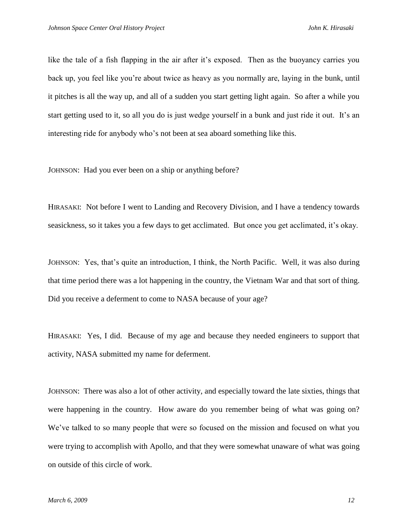like the tale of a fish flapping in the air after it's exposed. Then as the buoyancy carries you back up, you feel like you're about twice as heavy as you normally are, laying in the bunk, until it pitches is all the way up, and all of a sudden you start getting light again. So after a while you start getting used to it, so all you do is just wedge yourself in a bunk and just ride it out. It's an interesting ride for anybody who's not been at sea aboard something like this.

JOHNSON: Had you ever been on a ship or anything before?

HIRASAKI: Not before I went to Landing and Recovery Division, and I have a tendency towards seasickness, so it takes you a few days to get acclimated. But once you get acclimated, it's okay.

JOHNSON: Yes, that's quite an introduction, I think, the North Pacific. Well, it was also during that time period there was a lot happening in the country, the Vietnam War and that sort of thing. Did you receive a deferment to come to NASA because of your age?

HIRASAKI: Yes, I did. Because of my age and because they needed engineers to support that activity, NASA submitted my name for deferment.

JOHNSON: There was also a lot of other activity, and especially toward the late sixties, things that were happening in the country. How aware do you remember being of what was going on? We've talked to so many people that were so focused on the mission and focused on what you were trying to accomplish with Apollo, and that they were somewhat unaware of what was going on outside of this circle of work.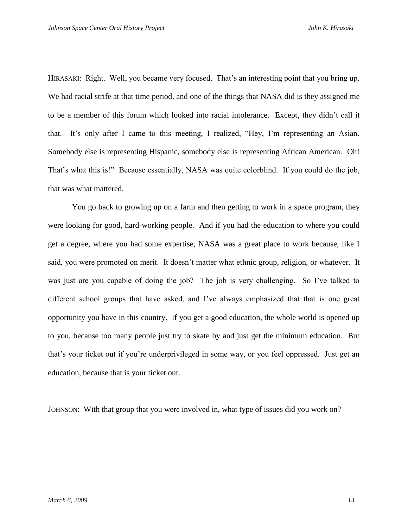HIRASAKI: Right. Well, you became very focused. That's an interesting point that you bring up. We had racial strife at that time period, and one of the things that NASA did is they assigned me to be a member of this forum which looked into racial intolerance. Except, they didn't call it that. It's only after I came to this meeting, I realized, "Hey, I'm representing an Asian. Somebody else is representing Hispanic, somebody else is representing African American. Oh! That's what this is!" Because essentially, NASA was quite colorblind. If you could do the job, that was what mattered.

You go back to growing up on a farm and then getting to work in a space program, they were looking for good, hard-working people. And if you had the education to where you could get a degree, where you had some expertise, NASA was a great place to work because, like I said, you were promoted on merit. It doesn't matter what ethnic group, religion, or whatever. It was just are you capable of doing the job? The job is very challenging. So I've talked to different school groups that have asked, and I've always emphasized that that is one great opportunity you have in this country. If you get a good education, the whole world is opened up to you, because too many people just try to skate by and just get the minimum education. But that's your ticket out if you're underprivileged in some way, or you feel oppressed. Just get an education, because that is your ticket out.

JOHNSON: With that group that you were involved in, what type of issues did you work on?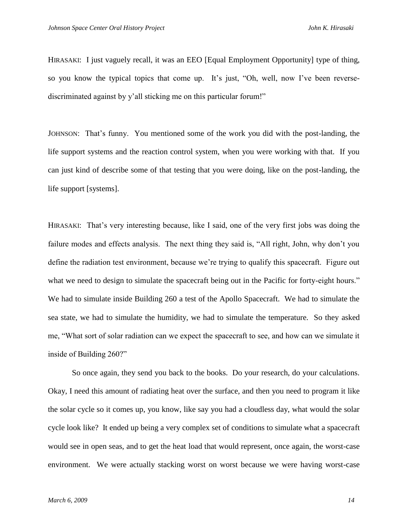HIRASAKI: I just vaguely recall, it was an EEO [Equal Employment Opportunity] type of thing, so you know the typical topics that come up. It's just, "Oh, well, now I've been reversediscriminated against by y'all sticking me on this particular forum!"

JOHNSON: That's funny. You mentioned some of the work you did with the post-landing, the life support systems and the reaction control system, when you were working with that. If you can just kind of describe some of that testing that you were doing, like on the post-landing, the life support [systems].

HIRASAKI: That's very interesting because, like I said, one of the very first jobs was doing the failure modes and effects analysis. The next thing they said is, "All right, John, why don't you define the radiation test environment, because we're trying to qualify this spacecraft. Figure out what we need to design to simulate the spacecraft being out in the Pacific for forty-eight hours." We had to simulate inside Building 260 a test of the Apollo Spacecraft. We had to simulate the sea state, we had to simulate the humidity, we had to simulate the temperature. So they asked me, "What sort of solar radiation can we expect the spacecraft to see, and how can we simulate it inside of Building 260?"

So once again, they send you back to the books. Do your research, do your calculations. Okay, I need this amount of radiating heat over the surface, and then you need to program it like the solar cycle so it comes up, you know, like say you had a cloudless day, what would the solar cycle look like? It ended up being a very complex set of conditions to simulate what a spacecraft would see in open seas, and to get the heat load that would represent, once again, the worst-case environment. We were actually stacking worst on worst because we were having worst-case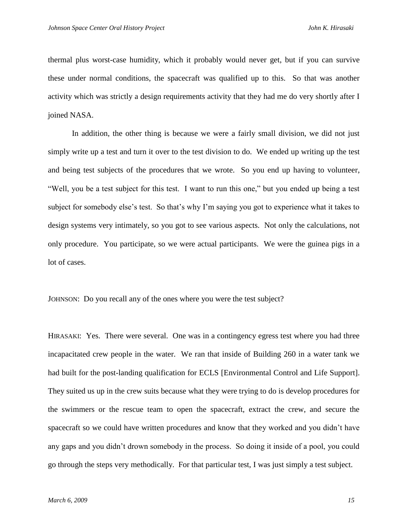thermal plus worst-case humidity, which it probably would never get, but if you can survive these under normal conditions, the spacecraft was qualified up to this. So that was another activity which was strictly a design requirements activity that they had me do very shortly after I joined NASA.

In addition, the other thing is because we were a fairly small division, we did not just simply write up a test and turn it over to the test division to do. We ended up writing up the test and being test subjects of the procedures that we wrote. So you end up having to volunteer, Well, you be a test subject for this test. I want to run this one," but you ended up being a test subject for somebody else's test. So that's why I'm saying you got to experience what it takes to design systems very intimately, so you got to see various aspects. Not only the calculations, not only procedure. You participate, so we were actual participants. We were the guinea pigs in a lot of cases.

JOHNSON: Do you recall any of the ones where you were the test subject?

HIRASAKI: Yes. There were several. One was in a contingency egress test where you had three incapacitated crew people in the water. We ran that inside of Building 260 in a water tank we had built for the post-landing qualification for ECLS [Environmental Control and Life Support]. They suited us up in the crew suits because what they were trying to do is develop procedures for the swimmers or the rescue team to open the spacecraft, extract the crew, and secure the spacecraft so we could have written procedures and know that they worked and you didn't have any gaps and you didn't drown somebody in the process. So doing it inside of a pool, you could go through the steps very methodically. For that particular test, I was just simply a test subject.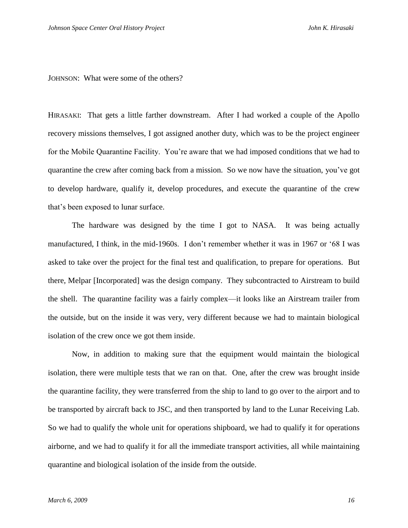JOHNSON: What were some of the others?

HIRASAKI: That gets a little farther downstream. After I had worked a couple of the Apollo recovery missions themselves, I got assigned another duty, which was to be the project engineer for the Mobile Quarantine Facility. You're aware that we had imposed conditions that we had to quarantine the crew after coming back from a mission. So we now have the situation, you've got to develop hardware, qualify it, develop procedures, and execute the quarantine of the crew that's been exposed to lunar surface.

The hardware was designed by the time I got to NASA. It was being actually manufactured, I think, in the mid-1960s. I don't remember whether it was in 1967 or '68 I was asked to take over the project for the final test and qualification, to prepare for operations. But there, Melpar [Incorporated] was the design company. They subcontracted to Airstream to build the shell. The quarantine facility was a fairly complex—it looks like an Airstream trailer from the outside, but on the inside it was very, very different because we had to maintain biological isolation of the crew once we got them inside.

Now, in addition to making sure that the equipment would maintain the biological isolation, there were multiple tests that we ran on that. One, after the crew was brought inside the quarantine facility, they were transferred from the ship to land to go over to the airport and to be transported by aircraft back to JSC, and then transported by land to the Lunar Receiving Lab. So we had to qualify the whole unit for operations shipboard, we had to qualify it for operations airborne, and we had to qualify it for all the immediate transport activities, all while maintaining quarantine and biological isolation of the inside from the outside.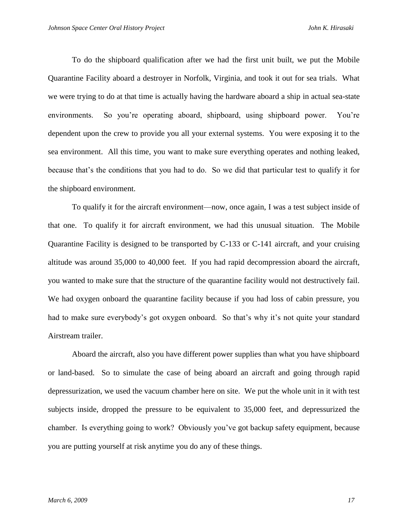To do the shipboard qualification after we had the first unit built, we put the Mobile Quarantine Facility aboard a destroyer in Norfolk, Virginia, and took it out for sea trials. What we were trying to do at that time is actually having the hardware aboard a ship in actual sea-state environments. So you're operating aboard, shipboard, using shipboard power. You're dependent upon the crew to provide you all your external systems. You were exposing it to the sea environment. All this time, you want to make sure everything operates and nothing leaked, because that's the conditions that you had to do. So we did that particular test to qualify it for the shipboard environment.

To qualify it for the aircraft environment—now, once again, I was a test subject inside of that one. To qualify it for aircraft environment, we had this unusual situation. The Mobile Quarantine Facility is designed to be transported by C-133 or C-141 aircraft, and your cruising altitude was around 35,000 to 40,000 feet. If you had rapid decompression aboard the aircraft, you wanted to make sure that the structure of the quarantine facility would not destructively fail. We had oxygen onboard the quarantine facility because if you had loss of cabin pressure, you had to make sure everybody's got oxygen onboard. So that's why it's not quite your standard Airstream trailer.

Aboard the aircraft, also you have different power supplies than what you have shipboard or land-based. So to simulate the case of being aboard an aircraft and going through rapid depressurization, we used the vacuum chamber here on site. We put the whole unit in it with test subjects inside, dropped the pressure to be equivalent to 35,000 feet, and depressurized the chamber. Is everything going to work? Obviously you've got backup safety equipment, because you are putting yourself at risk anytime you do any of these things.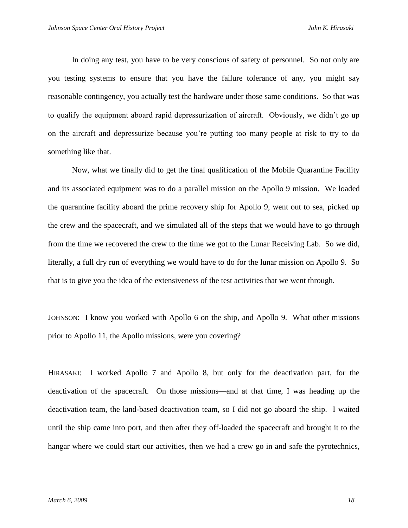In doing any test, you have to be very conscious of safety of personnel. So not only are you testing systems to ensure that you have the failure tolerance of any, you might say reasonable contingency, you actually test the hardware under those same conditions. So that was to qualify the equipment aboard rapid depressurization of aircraft. Obviously, we didn't go up on the aircraft and depressurize because you're putting too many people at risk to try to do something like that.

Now, what we finally did to get the final qualification of the Mobile Quarantine Facility and its associated equipment was to do a parallel mission on the Apollo 9 mission. We loaded the quarantine facility aboard the prime recovery ship for Apollo 9, went out to sea, picked up the crew and the spacecraft, and we simulated all of the steps that we would have to go through from the time we recovered the crew to the time we got to the Lunar Receiving Lab. So we did, literally, a full dry run of everything we would have to do for the lunar mission on Apollo 9. So that is to give you the idea of the extensiveness of the test activities that we went through.

JOHNSON: I know you worked with Apollo 6 on the ship, and Apollo 9. What other missions prior to Apollo 11, the Apollo missions, were you covering?

HIRASAKI: I worked Apollo 7 and Apollo 8, but only for the deactivation part, for the deactivation of the spacecraft. On those missions—and at that time, I was heading up the deactivation team, the land-based deactivation team, so I did not go aboard the ship. I waited until the ship came into port, and then after they off-loaded the spacecraft and brought it to the hangar where we could start our activities, then we had a crew go in and safe the pyrotechnics,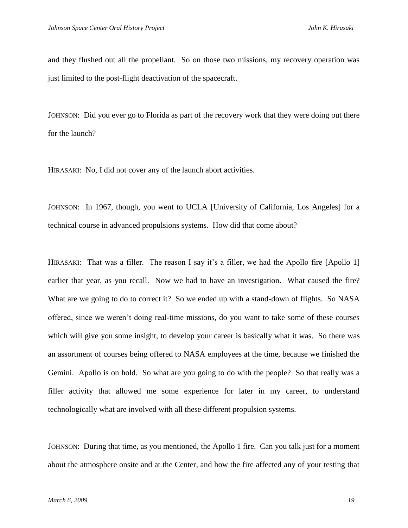and they flushed out all the propellant. So on those two missions, my recovery operation was just limited to the post-flight deactivation of the spacecraft.

JOHNSON: Did you ever go to Florida as part of the recovery work that they were doing out there for the launch?

HIRASAKI: No, I did not cover any of the launch abort activities.

JOHNSON: In 1967, though, you went to UCLA [University of California, Los Angeles] for a technical course in advanced propulsions systems. How did that come about?

HIRASAKI: That was a filler. The reason I say it's a filler, we had the Apollo fire [Apollo 1] earlier that year, as you recall. Now we had to have an investigation. What caused the fire? What are we going to do to correct it? So we ended up with a stand-down of flights. So NASA offered, since we weren't doing real-time missions, do you want to take some of these courses which will give you some insight, to develop your career is basically what it was. So there was an assortment of courses being offered to NASA employees at the time, because we finished the Gemini. Apollo is on hold. So what are you going to do with the people? So that really was a filler activity that allowed me some experience for later in my career, to understand technologically what are involved with all these different propulsion systems.

JOHNSON: During that time, as you mentioned, the Apollo 1 fire. Can you talk just for a moment about the atmosphere onsite and at the Center, and how the fire affected any of your testing that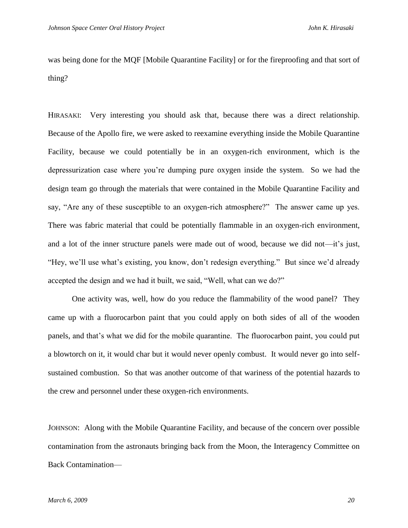was being done for the MQF [Mobile Quarantine Facility] or for the fireproofing and that sort of thing?

HIRASAKI: Very interesting you should ask that, because there was a direct relationship. Because of the Apollo fire, we were asked to reexamine everything inside the Mobile Quarantine Facility, because we could potentially be in an oxygen-rich environment, which is the depressurization case where you're dumping pure oxygen inside the system. So we had the design team go through the materials that were contained in the Mobile Quarantine Facility and say, "Are any of these susceptible to an oxygen-rich atmosphere?" The answer came up yes. There was fabric material that could be potentially flammable in an oxygen-rich environment, and a lot of the inner structure panels were made out of wood, because we did not—it's just, "Hey, we'll use what's existing, you know, don't redesign everything." But since we'd already accepted the design and we had it built, we said, "Well, what can we do?"

One activity was, well, how do you reduce the flammability of the wood panel? They came up with a fluorocarbon paint that you could apply on both sides of all of the wooden panels, and that's what we did for the mobile quarantine. The fluorocarbon paint, you could put a blowtorch on it, it would char but it would never openly combust. It would never go into selfsustained combustion. So that was another outcome of that wariness of the potential hazards to the crew and personnel under these oxygen-rich environments.

JOHNSON: Along with the Mobile Quarantine Facility, and because of the concern over possible contamination from the astronauts bringing back from the Moon, the Interagency Committee on Back Contamination—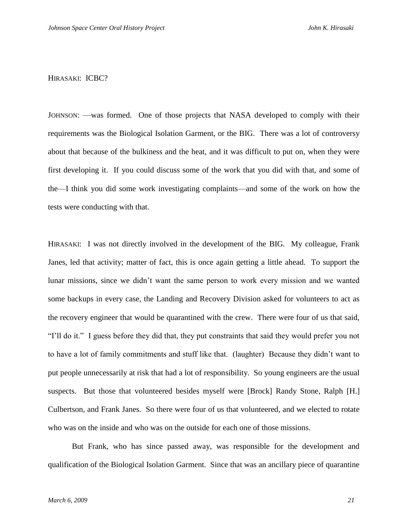## HIRASAKI: ICBC?

JOHNSON: —was formed. One of those projects that NASA developed to comply with their requirements was the Biological Isolation Garment, or the BIG. There was a lot of controversy about that because of the bulkiness and the heat, and it was difficult to put on, when they were first developing it. If you could discuss some of the work that you did with that, and some of the—I think you did some work investigating complaints—and some of the work on how the tests were conducting with that.

HIRASAKI: I was not directly involved in the development of the BIG. My colleague, Frank Janes, led that activity; matter of fact, this is once again getting a little ahead. To support the lunar missions, since we didn't want the same person to work every mission and we wanted some backups in every case, the Landing and Recovery Division asked for volunteers to act as the recovery engineer that would be quarantined with the crew. There were four of us that said, "I'll do it." I guess before they did that, they put constraints that said they would prefer you not to have a lot of family commitments and stuff like that. (laughter) Because they didn't want to put people unnecessarily at risk that had a lot of responsibility. So young engineers are the usual suspects. But those that volunteered besides myself were [Brock] Randy Stone, Ralph [H.] Culbertson, and Frank Janes. So there were four of us that volunteered, and we elected to rotate who was on the inside and who was on the outside for each one of those missions.

But Frank, who has since passed away, was responsible for the development and qualification of the Biological Isolation Garment. Since that was an ancillary piece of quarantine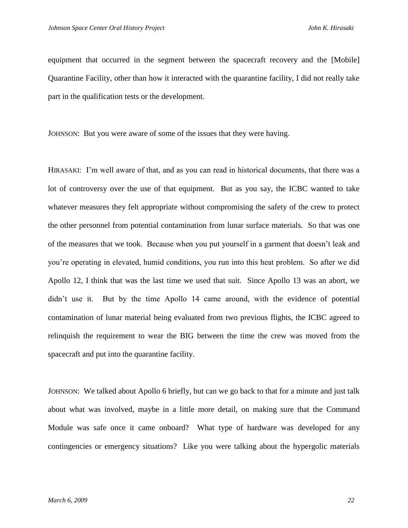equipment that occurred in the segment between the spacecraft recovery and the [Mobile] Quarantine Facility, other than how it interacted with the quarantine facility, I did not really take part in the qualification tests or the development.

JOHNSON: But you were aware of some of the issues that they were having.

HIRASAKI: I'm well aware of that, and as you can read in historical documents, that there was a lot of controversy over the use of that equipment. But as you say, the ICBC wanted to take whatever measures they felt appropriate without compromising the safety of the crew to protect the other personnel from potential contamination from lunar surface materials. So that was one of the measures that we took. Because when you put yourself in a garment that doesn't leak and you're operating in elevated, humid conditions, you run into this heat problem. So after we did Apollo 12, I think that was the last time we used that suit. Since Apollo 13 was an abort, we didn't use it. But by the time Apollo 14 came around, with the evidence of potential contamination of lunar material being evaluated from two previous flights, the ICBC agreed to relinquish the requirement to wear the BIG between the time the crew was moved from the spacecraft and put into the quarantine facility.

JOHNSON: We talked about Apollo 6 briefly, but can we go back to that for a minute and just talk about what was involved, maybe in a little more detail, on making sure that the Command Module was safe once it came onboard? What type of hardware was developed for any contingencies or emergency situations? Like you were talking about the hypergolic materials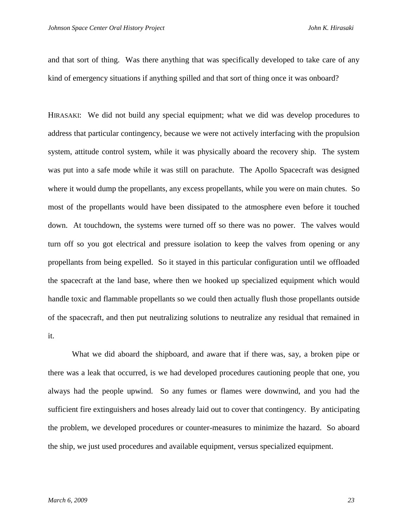and that sort of thing. Was there anything that was specifically developed to take care of any kind of emergency situations if anything spilled and that sort of thing once it was onboard?

HIRASAKI: We did not build any special equipment; what we did was develop procedures to address that particular contingency, because we were not actively interfacing with the propulsion system, attitude control system, while it was physically aboard the recovery ship. The system was put into a safe mode while it was still on parachute. The Apollo Spacecraft was designed where it would dump the propellants, any excess propellants, while you were on main chutes. So most of the propellants would have been dissipated to the atmosphere even before it touched down. At touchdown, the systems were turned off so there was no power. The valves would turn off so you got electrical and pressure isolation to keep the valves from opening or any propellants from being expelled. So it stayed in this particular configuration until we offloaded the spacecraft at the land base, where then we hooked up specialized equipment which would handle toxic and flammable propellants so we could then actually flush those propellants outside of the spacecraft, and then put neutralizing solutions to neutralize any residual that remained in it.

What we did aboard the shipboard, and aware that if there was, say, a broken pipe or there was a leak that occurred, is we had developed procedures cautioning people that one, you always had the people upwind. So any fumes or flames were downwind, and you had the sufficient fire extinguishers and hoses already laid out to cover that contingency. By anticipating the problem, we developed procedures or counter-measures to minimize the hazard. So aboard the ship, we just used procedures and available equipment, versus specialized equipment.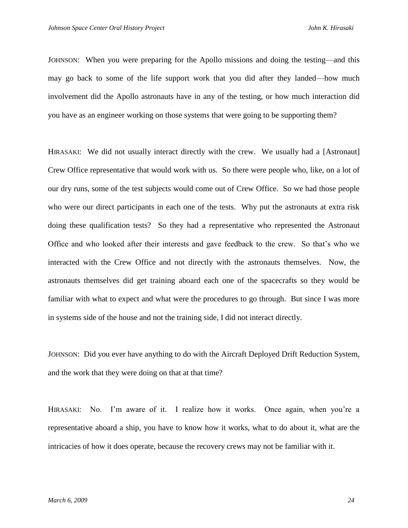JOHNSON: When you were preparing for the Apollo missions and doing the testing—and this may go back to some of the life support work that you did after they landed—how much involvement did the Apollo astronauts have in any of the testing, or how much interaction did you have as an engineer working on those systems that were going to be supporting them?

HIRASAKI: We did not usually interact directly with the crew. We usually had a [Astronaut] Crew Office representative that would work with us. So there were people who, like, on a lot of our dry runs, some of the test subjects would come out of Crew Office. So we had those people who were our direct participants in each one of the tests. Why put the astronauts at extra risk doing these qualification tests? So they had a representative who represented the Astronaut Office and who looked after their interests and gave feedback to the crew. So that's who we interacted with the Crew Office and not directly with the astronauts themselves. Now, the astronauts themselves did get training aboard each one of the spacecrafts so they would be familiar with what to expect and what were the procedures to go through. But since I was more in systems side of the house and not the training side, I did not interact directly.

JOHNSON: Did you ever have anything to do with the Aircraft Deployed Drift Reduction System, and the work that they were doing on that at that time?

HIRASAKI: No. I'm aware of it. I realize how it works. Once again, when you're a representative aboard a ship, you have to know how it works, what to do about it, what are the intricacies of how it does operate, because the recovery crews may not be familiar with it.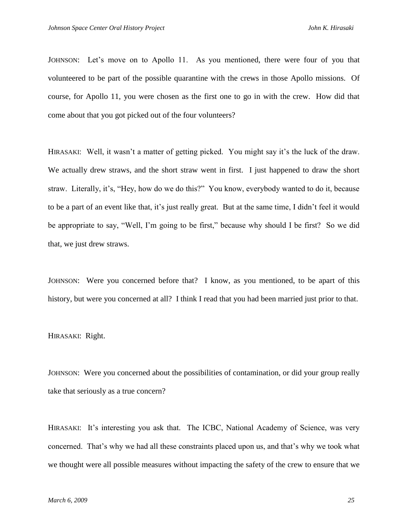JOHNSON: Let's move on to Apollo 11. As you mentioned, there were four of you that volunteered to be part of the possible quarantine with the crews in those Apollo missions. Of course, for Apollo 11, you were chosen as the first one to go in with the crew. How did that come about that you got picked out of the four volunteers?

HIRASAKI: Well, it wasn't a matter of getting picked. You might say it's the luck of the draw. We actually drew straws, and the short straw went in first. I just happened to draw the short straw. Literally, it's, "Hey, how do we do this?" You know, everybody wanted to do it, because to be a part of an event like that, it's just really great. But at the same time, I didn't feel it would be appropriate to say, "Well, I'm going to be first," because why should I be first? So we did that, we just drew straws.

JOHNSON: Were you concerned before that? I know, as you mentioned, to be apart of this history, but were you concerned at all? I think I read that you had been married just prior to that.

HIRASAKI: Right.

JOHNSON: Were you concerned about the possibilities of contamination, or did your group really take that seriously as a true concern?

HIRASAKI: It's interesting you ask that. The ICBC, National Academy of Science, was very concerned. That's why we had all these constraints placed upon us, and that's why we took what we thought were all possible measures without impacting the safety of the crew to ensure that we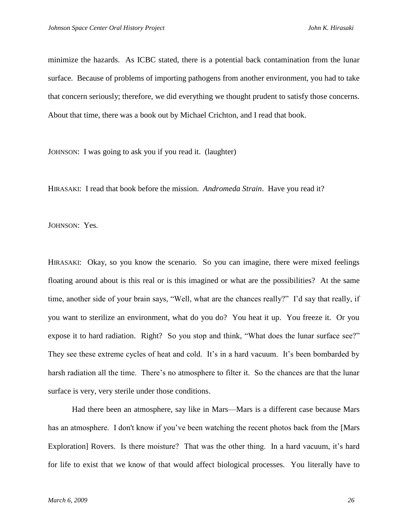minimize the hazards. As ICBC stated, there is a potential back contamination from the lunar surface. Because of problems of importing pathogens from another environment, you had to take that concern seriously; therefore, we did everything we thought prudent to satisfy those concerns. About that time, there was a book out by Michael Crichton, and I read that book.

JOHNSON: I was going to ask you if you read it. (laughter)

HIRASAKI: I read that book before the mission. *Andromeda Strain*. Have you read it?

JOHNSON: Yes.

HIRASAKI: Okay, so you know the scenario. So you can imagine, there were mixed feelings floating around about is this real or is this imagined or what are the possibilities? At the same time, another side of your brain says, "Well, what are the chances really?" I'd say that really, if you want to sterilize an environment, what do you do? You heat it up. You freeze it. Or you expose it to hard radiation. Right? So you stop and think, "What does the lunar surface see?" They see these extreme cycles of heat and cold. It's in a hard vacuum. It's been bombarded by harsh radiation all the time. There's no atmosphere to filter it. So the chances are that the lunar surface is very, very sterile under those conditions.

Had there been an atmosphere, say like in Mars—Mars is a different case because Mars has an atmosphere. I don't know if you've been watching the recent photos back from the [Mars Exploration] Rovers. Is there moisture? That was the other thing. In a hard vacuum, it's hard for life to exist that we know of that would affect biological processes. You literally have to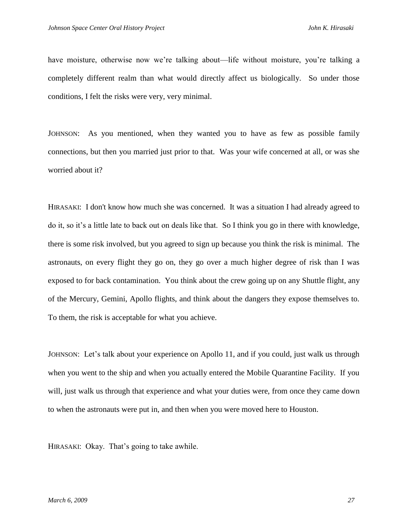have moisture, otherwise now we're talking about—life without moisture, you're talking a completely different realm than what would directly affect us biologically. So under those conditions, I felt the risks were very, very minimal.

JOHNSON: As you mentioned, when they wanted you to have as few as possible family connections, but then you married just prior to that. Was your wife concerned at all, or was she worried about it?

HIRASAKI: I don't know how much she was concerned. It was a situation I had already agreed to do it, so it's a little late to back out on deals like that. So I think you go in there with knowledge, there is some risk involved, but you agreed to sign up because you think the risk is minimal. The astronauts, on every flight they go on, they go over a much higher degree of risk than I was exposed to for back contamination. You think about the crew going up on any Shuttle flight, any of the Mercury, Gemini, Apollo flights, and think about the dangers they expose themselves to. To them, the risk is acceptable for what you achieve.

JOHNSON: Let's talk about your experience on Apollo 11, and if you could, just walk us through when you went to the ship and when you actually entered the Mobile Quarantine Facility. If you will, just walk us through that experience and what your duties were, from once they came down to when the astronauts were put in, and then when you were moved here to Houston.

HIRASAKI: Okay. That's going to take awhile.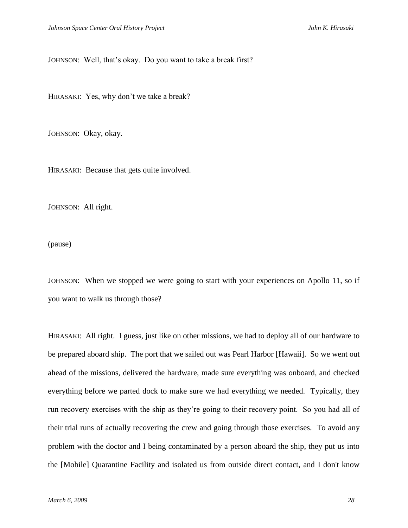JOHNSON: Well, that's okay. Do you want to take a break first?

HIRASAKI: Yes, why don't we take a break?

JOHNSON: Okay, okay.

HIRASAKI: Because that gets quite involved.

JOHNSON: All right.

(pause)

JOHNSON: When we stopped we were going to start with your experiences on Apollo 11, so if you want to walk us through those?

HIRASAKI: All right. I guess, just like on other missions, we had to deploy all of our hardware to be prepared aboard ship. The port that we sailed out was Pearl Harbor [Hawaii]. So we went out ahead of the missions, delivered the hardware, made sure everything was onboard, and checked everything before we parted dock to make sure we had everything we needed. Typically, they run recovery exercises with the ship as they're going to their recovery point. So you had all of their trial runs of actually recovering the crew and going through those exercises. To avoid any problem with the doctor and I being contaminated by a person aboard the ship, they put us into the [Mobile] Quarantine Facility and isolated us from outside direct contact, and I don't know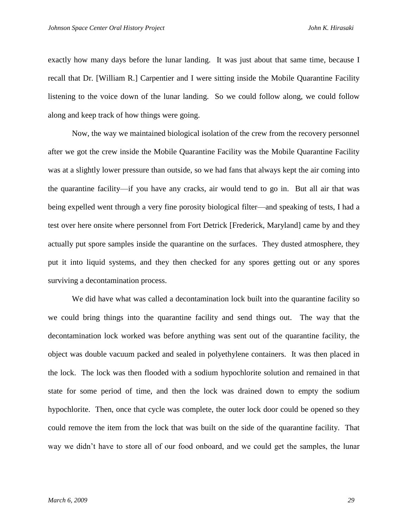exactly how many days before the lunar landing. It was just about that same time, because I recall that Dr. [William R.] Carpentier and I were sitting inside the Mobile Quarantine Facility listening to the voice down of the lunar landing. So we could follow along, we could follow along and keep track of how things were going.

Now, the way we maintained biological isolation of the crew from the recovery personnel after we got the crew inside the Mobile Quarantine Facility was the Mobile Quarantine Facility was at a slightly lower pressure than outside, so we had fans that always kept the air coming into the quarantine facility—if you have any cracks, air would tend to go in. But all air that was being expelled went through a very fine porosity biological filter—and speaking of tests, I had a test over here onsite where personnel from Fort Detrick [Frederick, Maryland] came by and they actually put spore samples inside the quarantine on the surfaces. They dusted atmosphere, they put it into liquid systems, and they then checked for any spores getting out or any spores surviving a decontamination process.

We did have what was called a decontamination lock built into the quarantine facility so we could bring things into the quarantine facility and send things out. The way that the decontamination lock worked was before anything was sent out of the quarantine facility, the object was double vacuum packed and sealed in polyethylene containers. It was then placed in the lock. The lock was then flooded with a sodium hypochlorite solution and remained in that state for some period of time, and then the lock was drained down to empty the sodium hypochlorite. Then, once that cycle was complete, the outer lock door could be opened so they could remove the item from the lock that was built on the side of the quarantine facility. That way we didn't have to store all of our food onboard, and we could get the samples, the lunar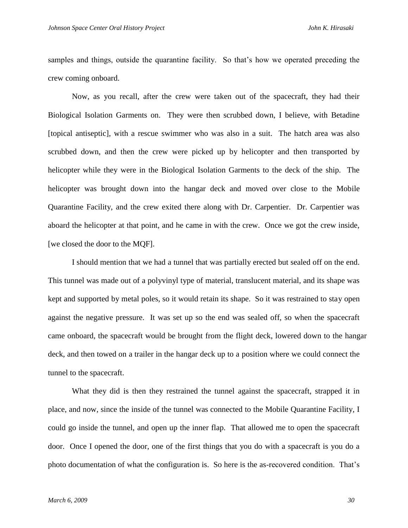samples and things, outside the quarantine facility. So that's how we operated preceding the crew coming onboard.

Now, as you recall, after the crew were taken out of the spacecraft, they had their Biological Isolation Garments on. They were then scrubbed down, I believe, with Betadine [topical antiseptic], with a rescue swimmer who was also in a suit. The hatch area was also scrubbed down, and then the crew were picked up by helicopter and then transported by helicopter while they were in the Biological Isolation Garments to the deck of the ship. The helicopter was brought down into the hangar deck and moved over close to the Mobile Quarantine Facility, and the crew exited there along with Dr. Carpentier. Dr. Carpentier was aboard the helicopter at that point, and he came in with the crew. Once we got the crew inside, [we closed the door to the MQF].

I should mention that we had a tunnel that was partially erected but sealed off on the end. This tunnel was made out of a polyvinyl type of material, translucent material, and its shape was kept and supported by metal poles, so it would retain its shape. So it was restrained to stay open against the negative pressure. It was set up so the end was sealed off, so when the spacecraft came onboard, the spacecraft would be brought from the flight deck, lowered down to the hangar deck, and then towed on a trailer in the hangar deck up to a position where we could connect the tunnel to the spacecraft.

What they did is then they restrained the tunnel against the spacecraft, strapped it in place, and now, since the inside of the tunnel was connected to the Mobile Quarantine Facility, I could go inside the tunnel, and open up the inner flap. That allowed me to open the spacecraft door. Once I opened the door, one of the first things that you do with a spacecraft is you do a photo documentation of what the configuration is. So here is the as-recovered condition. That's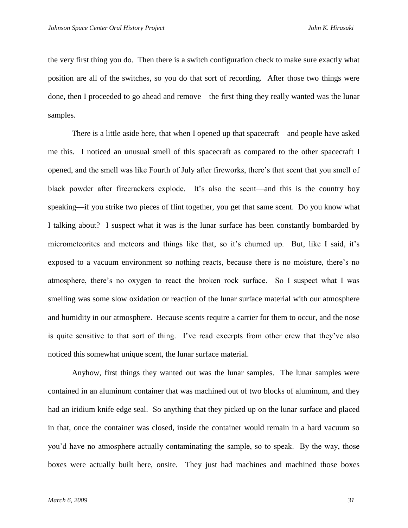the very first thing you do. Then there is a switch configuration check to make sure exactly what position are all of the switches, so you do that sort of recording. After those two things were done, then I proceeded to go ahead and remove—the first thing they really wanted was the lunar samples.

There is a little aside here, that when I opened up that spacecraft—and people have asked me this. I noticed an unusual smell of this spacecraft as compared to the other spacecraft I opened, and the smell was like Fourth of July after fireworks, there's that scent that you smell of black powder after firecrackers explode. It's also the scent—and this is the country boy speaking—if you strike two pieces of flint together, you get that same scent. Do you know what I talking about? I suspect what it was is the lunar surface has been constantly bombarded by micrometeorites and meteors and things like that, so it's churned up. But, like I said, it's exposed to a vacuum environment so nothing reacts, because there is no moisture, there's no atmosphere, there's no oxygen to react the broken rock surface. So I suspect what I was smelling was some slow oxidation or reaction of the lunar surface material with our atmosphere and humidity in our atmosphere. Because scents require a carrier for them to occur, and the nose is quite sensitive to that sort of thing. I've read excerpts from other crew that they've also noticed this somewhat unique scent, the lunar surface material.

Anyhow, first things they wanted out was the lunar samples. The lunar samples were contained in an aluminum container that was machined out of two blocks of aluminum, and they had an iridium knife edge seal. So anything that they picked up on the lunar surface and placed in that, once the container was closed, inside the container would remain in a hard vacuum so you'd have no atmosphere actually contaminating the sample, so to speak. By the way, those boxes were actually built here, onsite. They just had machines and machined those boxes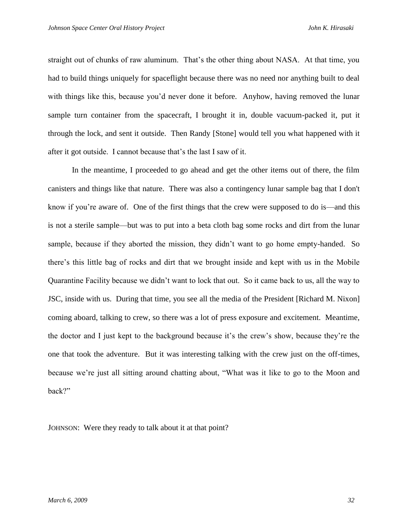straight out of chunks of raw aluminum. That's the other thing about NASA. At that time, you had to build things uniquely for spaceflight because there was no need nor anything built to deal with things like this, because you'd never done it before. Anyhow, having removed the lunar sample turn container from the spacecraft, I brought it in, double vacuum-packed it, put it through the lock, and sent it outside. Then Randy [Stone] would tell you what happened with it after it got outside. I cannot because that's the last I saw of it.

In the meantime, I proceeded to go ahead and get the other items out of there, the film canisters and things like that nature. There was also a contingency lunar sample bag that I don't know if you're aware of. One of the first things that the crew were supposed to do is—and this is not a sterile sample—but was to put into a beta cloth bag some rocks and dirt from the lunar sample, because if they aborted the mission, they didn't want to go home empty-handed. So there's this little bag of rocks and dirt that we brought inside and kept with us in the Mobile Quarantine Facility because we didn't want to lock that out. So it came back to us, all the way to JSC, inside with us. During that time, you see all the media of the President [Richard M. Nixon] coming aboard, talking to crew, so there was a lot of press exposure and excitement. Meantime, the doctor and I just kept to the background because it's the crew's show, because they're the one that took the adventure. But it was interesting talking with the crew just on the off-times, because we're just all sitting around chatting about, "What was it like to go to the Moon and back?"

JOHNSON: Were they ready to talk about it at that point?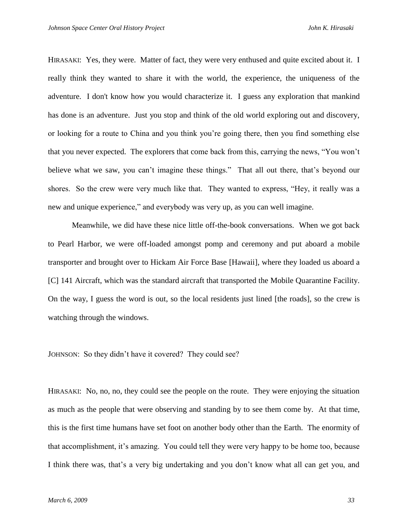HIRASAKI: Yes, they were. Matter of fact, they were very enthused and quite excited about it. I really think they wanted to share it with the world, the experience, the uniqueness of the adventure. I don't know how you would characterize it. I guess any exploration that mankind has done is an adventure. Just you stop and think of the old world exploring out and discovery, or looking for a route to China and you think you're going there, then you find something else that you never expected. The explorers that come back from this, carrying the news, ―You won't believe what we saw, you can't imagine these things." That all out there, that's beyond our shores. So the crew were very much like that. They wanted to express, "Hey, it really was a new and unique experience," and everybody was very up, as you can well imagine.

Meanwhile, we did have these nice little off-the-book conversations. When we got back to Pearl Harbor, we were off-loaded amongst pomp and ceremony and put aboard a mobile transporter and brought over to Hickam Air Force Base [Hawaii], where they loaded us aboard a [C] 141 Aircraft, which was the standard aircraft that transported the Mobile Quarantine Facility. On the way, I guess the word is out, so the local residents just lined [the roads], so the crew is watching through the windows.

JOHNSON: So they didn't have it covered? They could see?

HIRASAKI: No, no, no, they could see the people on the route. They were enjoying the situation as much as the people that were observing and standing by to see them come by. At that time, this is the first time humans have set foot on another body other than the Earth. The enormity of that accomplishment, it's amazing. You could tell they were very happy to be home too, because I think there was, that's a very big undertaking and you don't know what all can get you, and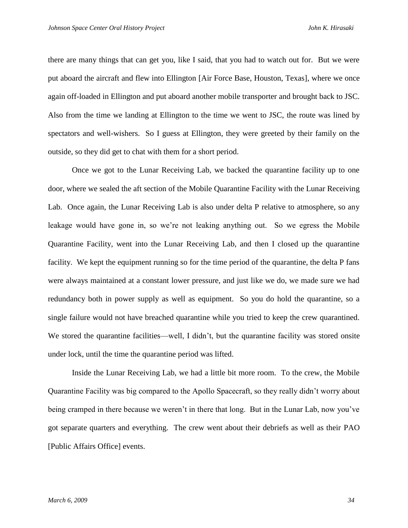there are many things that can get you, like I said, that you had to watch out for. But we were put aboard the aircraft and flew into Ellington [Air Force Base, Houston, Texas], where we once again off-loaded in Ellington and put aboard another mobile transporter and brought back to JSC. Also from the time we landing at Ellington to the time we went to JSC, the route was lined by spectators and well-wishers. So I guess at Ellington, they were greeted by their family on the outside, so they did get to chat with them for a short period.

Once we got to the Lunar Receiving Lab, we backed the quarantine facility up to one door, where we sealed the aft section of the Mobile Quarantine Facility with the Lunar Receiving Lab. Once again, the Lunar Receiving Lab is also under delta P relative to atmosphere, so any leakage would have gone in, so we're not leaking anything out. So we egress the Mobile Quarantine Facility, went into the Lunar Receiving Lab, and then I closed up the quarantine facility. We kept the equipment running so for the time period of the quarantine, the delta P fans were always maintained at a constant lower pressure, and just like we do, we made sure we had redundancy both in power supply as well as equipment. So you do hold the quarantine, so a single failure would not have breached quarantine while you tried to keep the crew quarantined. We stored the quarantine facilities—well, I didn't, but the quarantine facility was stored onsite under lock, until the time the quarantine period was lifted.

Inside the Lunar Receiving Lab, we had a little bit more room. To the crew, the Mobile Quarantine Facility was big compared to the Apollo Spacecraft, so they really didn't worry about being cramped in there because we weren't in there that long. But in the Lunar Lab, now you've got separate quarters and everything. The crew went about their debriefs as well as their PAO [Public Affairs Office] events.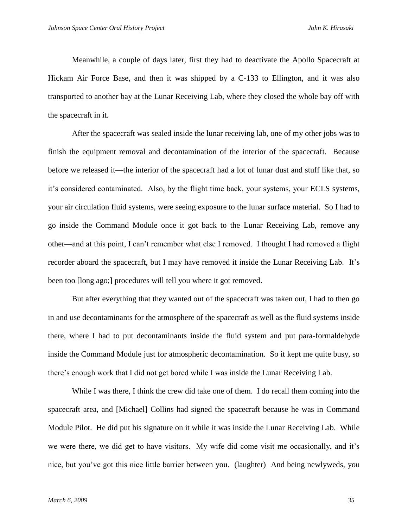Meanwhile, a couple of days later, first they had to deactivate the Apollo Spacecraft at Hickam Air Force Base, and then it was shipped by a C-133 to Ellington, and it was also transported to another bay at the Lunar Receiving Lab, where they closed the whole bay off with the spacecraft in it.

After the spacecraft was sealed inside the lunar receiving lab, one of my other jobs was to finish the equipment removal and decontamination of the interior of the spacecraft. Because before we released it—the interior of the spacecraft had a lot of lunar dust and stuff like that, so it's considered contaminated. Also, by the flight time back, your systems, your ECLS systems, your air circulation fluid systems, were seeing exposure to the lunar surface material. So I had to go inside the Command Module once it got back to the Lunar Receiving Lab, remove any other—and at this point, I can't remember what else I removed. I thought I had removed a flight recorder aboard the spacecraft, but I may have removed it inside the Lunar Receiving Lab. It's been too [long ago;] procedures will tell you where it got removed.

But after everything that they wanted out of the spacecraft was taken out, I had to then go in and use decontaminants for the atmosphere of the spacecraft as well as the fluid systems inside there, where I had to put decontaminants inside the fluid system and put para-formaldehyde inside the Command Module just for atmospheric decontamination. So it kept me quite busy, so there's enough work that I did not get bored while I was inside the Lunar Receiving Lab.

While I was there, I think the crew did take one of them. I do recall them coming into the spacecraft area, and [Michael] Collins had signed the spacecraft because he was in Command Module Pilot. He did put his signature on it while it was inside the Lunar Receiving Lab. While we were there, we did get to have visitors. My wife did come visit me occasionally, and it's nice, but you've got this nice little barrier between you. (laughter) And being newlyweds, you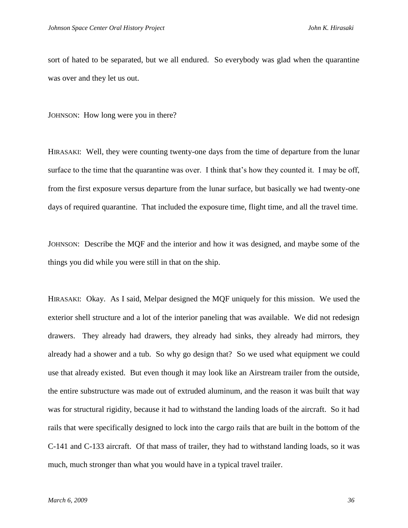sort of hated to be separated, but we all endured. So everybody was glad when the quarantine was over and they let us out.

JOHNSON: How long were you in there?

HIRASAKI: Well, they were counting twenty-one days from the time of departure from the lunar surface to the time that the quarantine was over. I think that's how they counted it. I may be off, from the first exposure versus departure from the lunar surface, but basically we had twenty-one days of required quarantine. That included the exposure time, flight time, and all the travel time.

JOHNSON: Describe the MQF and the interior and how it was designed, and maybe some of the things you did while you were still in that on the ship.

HIRASAKI: Okay. As I said, Melpar designed the MQF uniquely for this mission. We used the exterior shell structure and a lot of the interior paneling that was available. We did not redesign drawers. They already had drawers, they already had sinks, they already had mirrors, they already had a shower and a tub. So why go design that? So we used what equipment we could use that already existed. But even though it may look like an Airstream trailer from the outside, the entire substructure was made out of extruded aluminum, and the reason it was built that way was for structural rigidity, because it had to withstand the landing loads of the aircraft. So it had rails that were specifically designed to lock into the cargo rails that are built in the bottom of the C-141 and C-133 aircraft. Of that mass of trailer, they had to withstand landing loads, so it was much, much stronger than what you would have in a typical travel trailer.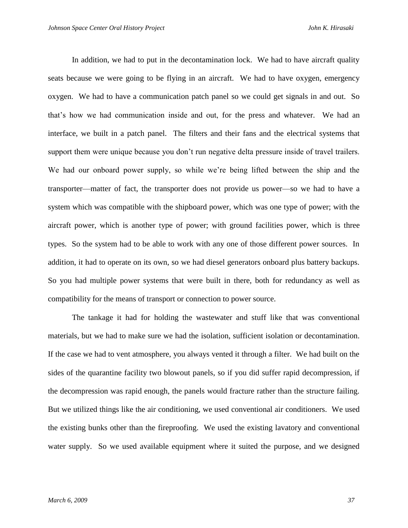In addition, we had to put in the decontamination lock. We had to have aircraft quality seats because we were going to be flying in an aircraft. We had to have oxygen, emergency oxygen. We had to have a communication patch panel so we could get signals in and out. So that's how we had communication inside and out, for the press and whatever. We had an interface, we built in a patch panel. The filters and their fans and the electrical systems that support them were unique because you don't run negative delta pressure inside of travel trailers. We had our onboard power supply, so while we're being lifted between the ship and the transporter—matter of fact, the transporter does not provide us power—so we had to have a system which was compatible with the shipboard power, which was one type of power; with the aircraft power, which is another type of power; with ground facilities power, which is three types. So the system had to be able to work with any one of those different power sources. In addition, it had to operate on its own, so we had diesel generators onboard plus battery backups. So you had multiple power systems that were built in there, both for redundancy as well as compatibility for the means of transport or connection to power source.

The tankage it had for holding the wastewater and stuff like that was conventional materials, but we had to make sure we had the isolation, sufficient isolation or decontamination. If the case we had to vent atmosphere, you always vented it through a filter. We had built on the sides of the quarantine facility two blowout panels, so if you did suffer rapid decompression, if the decompression was rapid enough, the panels would fracture rather than the structure failing. But we utilized things like the air conditioning, we used conventional air conditioners. We used the existing bunks other than the fireproofing. We used the existing lavatory and conventional water supply. So we used available equipment where it suited the purpose, and we designed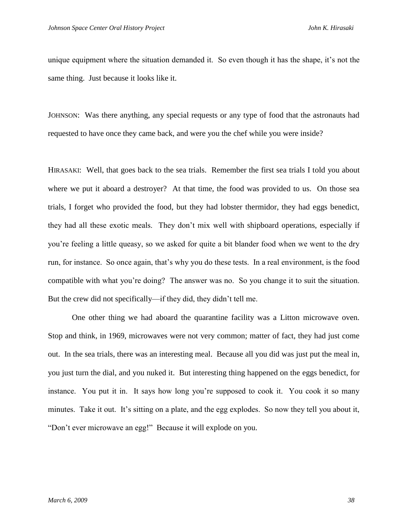unique equipment where the situation demanded it. So even though it has the shape, it's not the same thing. Just because it looks like it.

JOHNSON: Was there anything, any special requests or any type of food that the astronauts had requested to have once they came back, and were you the chef while you were inside?

HIRASAKI: Well, that goes back to the sea trials. Remember the first sea trials I told you about where we put it aboard a destroyer? At that time, the food was provided to us. On those sea trials, I forget who provided the food, but they had lobster thermidor, they had eggs benedict, they had all these exotic meals. They don't mix well with shipboard operations, especially if you're feeling a little queasy, so we asked for quite a bit blander food when we went to the dry run, for instance. So once again, that's why you do these tests. In a real environment, is the food compatible with what you're doing? The answer was no. So you change it to suit the situation. But the crew did not specifically—if they did, they didn't tell me.

One other thing we had aboard the quarantine facility was a Litton microwave oven. Stop and think, in 1969, microwaves were not very common; matter of fact, they had just come out. In the sea trials, there was an interesting meal. Because all you did was just put the meal in, you just turn the dial, and you nuked it. But interesting thing happened on the eggs benedict, for instance. You put it in. It says how long you're supposed to cook it. You cook it so many minutes. Take it out. It's sitting on a plate, and the egg explodes. So now they tell you about it, "Don't ever microwave an egg!" Because it will explode on you.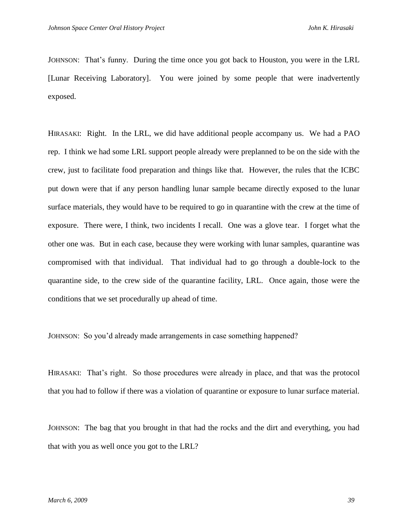JOHNSON: That's funny. During the time once you got back to Houston, you were in the LRL [Lunar Receiving Laboratory]. You were joined by some people that were inadvertently exposed.

HIRASAKI: Right. In the LRL, we did have additional people accompany us. We had a PAO rep. I think we had some LRL support people already were preplanned to be on the side with the crew, just to facilitate food preparation and things like that. However, the rules that the ICBC put down were that if any person handling lunar sample became directly exposed to the lunar surface materials, they would have to be required to go in quarantine with the crew at the time of exposure. There were, I think, two incidents I recall. One was a glove tear. I forget what the other one was. But in each case, because they were working with lunar samples, quarantine was compromised with that individual. That individual had to go through a double-lock to the quarantine side, to the crew side of the quarantine facility, LRL. Once again, those were the conditions that we set procedurally up ahead of time.

JOHNSON: So you'd already made arrangements in case something happened?

HIRASAKI: That's right. So those procedures were already in place, and that was the protocol that you had to follow if there was a violation of quarantine or exposure to lunar surface material.

JOHNSON: The bag that you brought in that had the rocks and the dirt and everything, you had that with you as well once you got to the LRL?